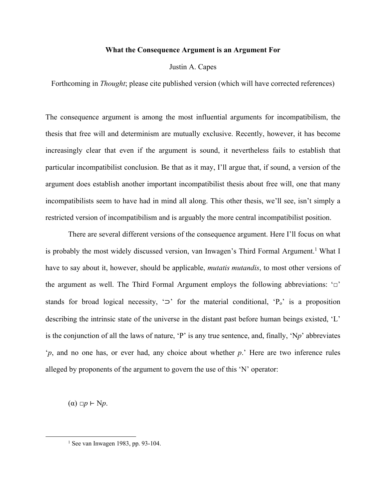## **What the Consequence Argument is an Argument For**

## Justin A. Capes

Forthcoming in *Thought*; please cite published version (which will have corrected references)

The consequence argument is among the most influential arguments for incompatibilism, the thesis that free will and determinism are mutually exclusive. Recently, however, it has become increasingly clear that even if the argument is sound, it nevertheless fails to establish that particular incompatibilist conclusion. Be that as it may, I'll argue that, if sound, a version of the argument does establish another important incompatibilist thesis about free will, one that many incompatibilists seem to have had in mind all along. This other thesis, we'll see, isn't simply a restricted version of incompatibilism and is arguably the more central incompatibilist position.

There are several different versions of the consequence argument. Here I'll focus on what is probably the most widely discussed version, van Inwagen's Third Formal Argument.<sup>1</sup> What I have to say about it, however, should be applicable, *mutatis mutandis*, to most other versions of the argument as well. The Third Formal Argument employs the following abbreviations:  $\Box$ stands for broad logical necessity, ' $\supset'$  for the material conditional, 'P<sub>o</sub>' is a proposition describing the intrinsic state of the universe in the distant past before human beings existed, 'L' is the conjunction of all the laws of nature, 'P' is any true sentence, and, finally, 'N*p*' abbreviates '*p*, and no one has, or ever had, any choice about whether *p*.' Here are two inference rules alleged by proponents of the argument to govern the use of this 'N' operator:

(α) □*p* ⊢ N*p*.

 <sup>1</sup> See van Inwagen 1983, pp. 93-104.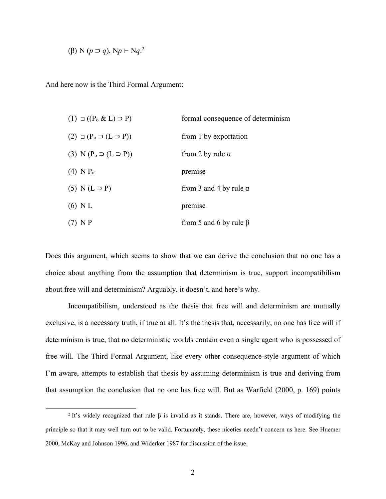$$
(β) N (p \supset q), Np \vdash Nq2
$$

And here now is the Third Formal Argument:

| $(1) \square ((P_0 & L) \supset P)$       | formal consequence of determinism |
|-------------------------------------------|-----------------------------------|
| $(2) \square (P_0 \supset (L \supset P))$ | from 1 by exportation             |
| (3) N $(P_0 \supset (L \supset P))$       | from 2 by rule $\alpha$           |
| $(4)$ N $P_0$                             | premise                           |
| $(5)$ N $(L \supset P)$                   | from 3 and 4 by rule $\alpha$     |
| $(6)$ NL                                  | premise                           |
| (7) NP                                    | from 5 and 6 by rule $\beta$      |

Does this argument, which seems to show that we can derive the conclusion that no one has a choice about anything from the assumption that determinism is true, support incompatibilism about free will and determinism? Arguably, it doesn't, and here's why.

Incompatibilism, understood as the thesis that free will and determinism are mutually exclusive, is a necessary truth, if true at all. It's the thesis that, necessarily, no one has free will if determinism is true, that no deterministic worlds contain even a single agent who is possessed of free will. The Third Formal Argument, like every other consequence-style argument of which I'm aware, attempts to establish that thesis by assuming determinism is true and deriving from that assumption the conclusion that no one has free will. But as Warfield (2000, p. 169) points

<sup>&</sup>lt;sup>2</sup> It's widely recognized that rule β is invalid as it stands. There are, however, ways of modifying the principle so that it may well turn out to be valid. Fortunately, these niceties needn't concern us here. See Huemer 2000, McKay and Johnson 1996, and Widerker 1987 for discussion of the issue.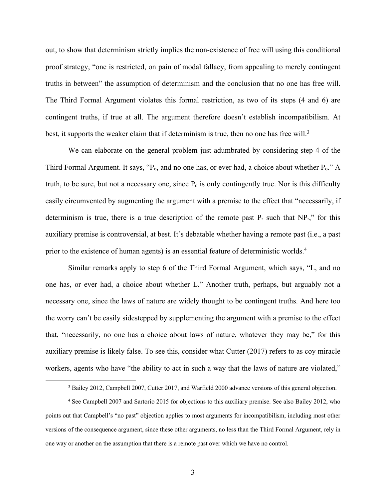out, to show that determinism strictly implies the non-existence of free will using this conditional proof strategy, "one is restricted, on pain of modal fallacy, from appealing to merely contingent truths in between" the assumption of determinism and the conclusion that no one has free will. The Third Formal Argument violates this formal restriction, as two of its steps (4 and 6) are contingent truths, if true at all. The argument therefore doesn't establish incompatibilism. At best, it supports the weaker claim that if determinism is true, then no one has free will.<sup>3</sup>

We can elaborate on the general problem just adumbrated by considering step 4 of the Third Formal Argument. It says, "P<sub>o</sub>, and no one has, or ever had, a choice about whether P<sub>o</sub>." A truth, to be sure, but not a necessary one, since  $P_0$  is only contingently true. Nor is this difficulty easily circumvented by augmenting the argument with a premise to the effect that "necessarily, if determinism is true, there is a true description of the remote past  $P_r$  such that  $NP_r$ ," for this auxiliary premise is controversial, at best. It's debatable whether having a remote past (i.e., a past prior to the existence of human agents) is an essential feature of deterministic worlds.<sup>4</sup>

Similar remarks apply to step 6 of the Third Formal Argument, which says, "L, and no one has, or ever had, a choice about whether L." Another truth, perhaps, but arguably not a necessary one, since the laws of nature are widely thought to be contingent truths. And here too the worry can't be easily sidestepped by supplementing the argument with a premise to the effect that, "necessarily, no one has a choice about laws of nature, whatever they may be," for this auxiliary premise is likely false. To see this, consider what Cutter (2017) refers to as coy miracle workers, agents who have "the ability to act in such a way that the laws of nature are violated,"

 <sup>3</sup> Bailey 2012, Campbell 2007, Cutter 2017, and Warfield 2000 advance versions of this general objection.

<sup>4</sup> See Campbell 2007 and Sartorio 2015 for objections to this auxiliary premise. See also Bailey 2012, who points out that Campbell's "no past" objection applies to most arguments for incompatibilism, including most other versions of the consequence argument, since these other arguments, no less than the Third Formal Argument, rely in one way or another on the assumption that there is a remote past over which we have no control.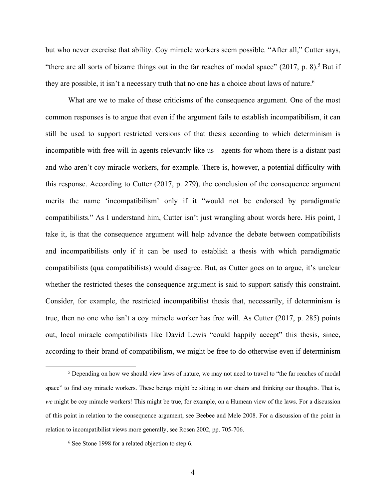but who never exercise that ability. Coy miracle workers seem possible. "After all," Cutter says, "there are all sorts of bizarre things out in the far reaches of modal space" (2017, p. 8).<sup>5</sup> But if they are possible, it isn't a necessary truth that no one has a choice about laws of nature.<sup>6</sup>

What are we to make of these criticisms of the consequence argument. One of the most common responses is to argue that even if the argument fails to establish incompatibilism, it can still be used to support restricted versions of that thesis according to which determinism is incompatible with free will in agents relevantly like us—agents for whom there is a distant past and who aren't coy miracle workers, for example. There is, however, a potential difficulty with this response. According to Cutter (2017, p. 279), the conclusion of the consequence argument merits the name 'incompatibilism' only if it "would not be endorsed by paradigmatic compatibilists." As I understand him, Cutter isn't just wrangling about words here. His point, I take it, is that the consequence argument will help advance the debate between compatibilists and incompatibilists only if it can be used to establish a thesis with which paradigmatic compatibilists (qua compatibilists) would disagree. But, as Cutter goes on to argue, it's unclear whether the restricted theses the consequence argument is said to support satisfy this constraint. Consider, for example, the restricted incompatibilist thesis that, necessarily, if determinism is true, then no one who isn't a coy miracle worker has free will. As Cutter (2017, p. 285) points out, local miracle compatibilists like David Lewis "could happily accept" this thesis, since, according to their brand of compatibilism, we might be free to do otherwise even if determinism

 <sup>5</sup> Depending on how we should view laws of nature, we may not need to travel to "the far reaches of modal space" to find coy miracle workers. These beings might be sitting in our chairs and thinking our thoughts. That is, *we* might be coy miracle workers! This might be true, for example, on a Humean view of the laws. For a discussion of this point in relation to the consequence argument, see Beebee and Mele 2008. For a discussion of the point in relation to incompatibilist views more generally, see Rosen 2002, pp. 705-706.

<sup>6</sup> See Stone 1998 for a related objection to step 6.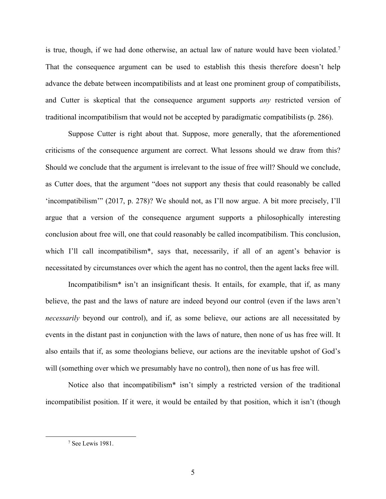is true, though, if we had done otherwise, an actual law of nature would have been violated.<sup>7</sup> That the consequence argument can be used to establish this thesis therefore doesn't help advance the debate between incompatibilists and at least one prominent group of compatibilists, and Cutter is skeptical that the consequence argument supports *any* restricted version of traditional incompatibilism that would not be accepted by paradigmatic compatibilists (p. 286).

Suppose Cutter is right about that. Suppose, more generally, that the aforementioned criticisms of the consequence argument are correct. What lessons should we draw from this? Should we conclude that the argument is irrelevant to the issue of free will? Should we conclude, as Cutter does, that the argument "does not support any thesis that could reasonably be called 'incompatibilism'" (2017, p. 278)? We should not, as I'll now argue. A bit more precisely, I'll argue that a version of the consequence argument supports a philosophically interesting conclusion about free will, one that could reasonably be called incompatibilism. This conclusion, which I'll call incompatibilism<sup>\*</sup>, says that, necessarily, if all of an agent's behavior is necessitated by circumstances over which the agent has no control, then the agent lacks free will.

Incompatibilism\* isn't an insignificant thesis. It entails, for example, that if, as many believe, the past and the laws of nature are indeed beyond our control (even if the laws aren't *necessarily* beyond our control), and if, as some believe, our actions are all necessitated by events in the distant past in conjunction with the laws of nature, then none of us has free will. It also entails that if, as some theologians believe, our actions are the inevitable upshot of God's will (something over which we presumably have no control), then none of us has free will.

Notice also that incompatibilism\* isn't simply a restricted version of the traditional incompatibilist position. If it were, it would be entailed by that position, which it isn't (though

 <sup>7</sup> See Lewis 1981.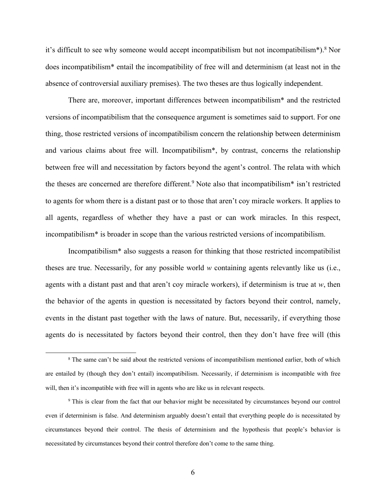it's difficult to see why someone would accept incompatibilism but not incompatibilism\*).<sup>8</sup> Nor does incompatibilism\* entail the incompatibility of free will and determinism (at least not in the absence of controversial auxiliary premises). The two theses are thus logically independent.

There are, moreover, important differences between incompatibilism\* and the restricted versions of incompatibilism that the consequence argument is sometimes said to support. For one thing, those restricted versions of incompatibilism concern the relationship between determinism and various claims about free will. Incompatibilism\*, by contrast, concerns the relationship between free will and necessitation by factors beyond the agent's control. The relata with which the theses are concerned are therefore different.9 Note also that incompatibilism\* isn't restricted to agents for whom there is a distant past or to those that aren't coy miracle workers. It applies to all agents, regardless of whether they have a past or can work miracles. In this respect, incompatibilism\* is broader in scope than the various restricted versions of incompatibilism.

Incompatibilism\* also suggests a reason for thinking that those restricted incompatibilist theses are true. Necessarily, for any possible world *w* containing agents relevantly like us (i.e., agents with a distant past and that aren't coy miracle workers), if determinism is true at *w*, then the behavior of the agents in question is necessitated by factors beyond their control, namely, events in the distant past together with the laws of nature. But, necessarily, if everything those agents do is necessitated by factors beyond their control, then they don't have free will (this

<sup>&</sup>lt;sup>8</sup> The same can't be said about the restricted versions of incompatibilism mentioned earlier, both of which are entailed by (though they don't entail) incompatibilism. Necessarily, if determinism is incompatible with free will, then it's incompatible with free will in agents who are like us in relevant respects.

<sup>&</sup>lt;sup>9</sup> This is clear from the fact that our behavior might be necessitated by circumstances beyond our control even if determinism is false. And determinism arguably doesn't entail that everything people do is necessitated by circumstances beyond their control. The thesis of determinism and the hypothesis that people's behavior is necessitated by circumstances beyond their control therefore don't come to the same thing.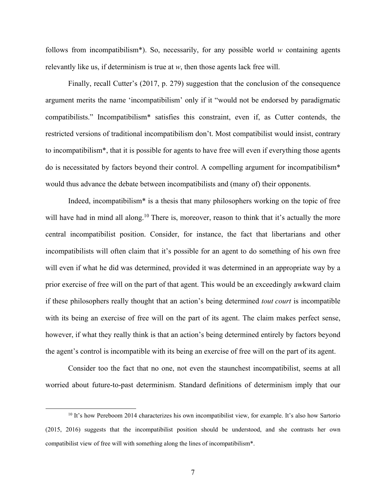follows from incompatibilism\*). So, necessarily, for any possible world *w* containing agents relevantly like us, if determinism is true at *w*, then those agents lack free will.

Finally, recall Cutter's (2017, p. 279) suggestion that the conclusion of the consequence argument merits the name 'incompatibilism' only if it "would not be endorsed by paradigmatic compatibilists." Incompatibilism\* satisfies this constraint, even if, as Cutter contends, the restricted versions of traditional incompatibilism don't. Most compatibilist would insist, contrary to incompatibilism\*, that it is possible for agents to have free will even if everything those agents do is necessitated by factors beyond their control. A compelling argument for incompatibilism\* would thus advance the debate between incompatibilists and (many of) their opponents.

Indeed, incompatibilism<sup>\*</sup> is a thesis that many philosophers working on the topic of free will have had in mind all along.<sup>10</sup> There is, moreover, reason to think that it's actually the more central incompatibilist position. Consider, for instance, the fact that libertarians and other incompatibilists will often claim that it's possible for an agent to do something of his own free will even if what he did was determined, provided it was determined in an appropriate way by a prior exercise of free will on the part of that agent. This would be an exceedingly awkward claim if these philosophers really thought that an action's being determined *tout court* is incompatible with its being an exercise of free will on the part of its agent. The claim makes perfect sense, however, if what they really think is that an action's being determined entirely by factors beyond the agent's control is incompatible with its being an exercise of free will on the part of its agent.

Consider too the fact that no one, not even the staunchest incompatibilist, seems at all worried about future-to-past determinism. Standard definitions of determinism imply that our

<sup>&</sup>lt;sup>10</sup> It's how Pereboom 2014 characterizes his own incompatibilist view, for example. It's also how Sartorio (2015, 2016) suggests that the incompatibilist position should be understood, and she contrasts her own compatibilist view of free will with something along the lines of incompatibilism\*.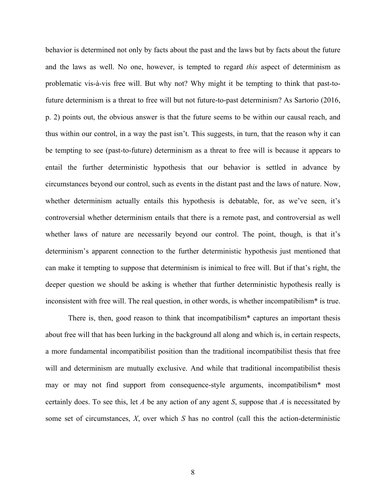behavior is determined not only by facts about the past and the laws but by facts about the future and the laws as well. No one, however, is tempted to regard *this* aspect of determinism as problematic vis-à-vis free will. But why not? Why might it be tempting to think that past-tofuture determinism is a threat to free will but not future-to-past determinism? As Sartorio (2016, p. 2) points out, the obvious answer is that the future seems to be within our causal reach, and thus within our control, in a way the past isn't. This suggests, in turn, that the reason why it can be tempting to see (past-to-future) determinism as a threat to free will is because it appears to entail the further deterministic hypothesis that our behavior is settled in advance by circumstances beyond our control, such as events in the distant past and the laws of nature. Now, whether determinism actually entails this hypothesis is debatable, for, as we've seen, it's controversial whether determinism entails that there is a remote past, and controversial as well whether laws of nature are necessarily beyond our control. The point, though, is that it's determinism's apparent connection to the further deterministic hypothesis just mentioned that can make it tempting to suppose that determinism is inimical to free will. But if that's right, the deeper question we should be asking is whether that further deterministic hypothesis really is inconsistent with free will. The real question, in other words, is whether incompatibilism\* is true.

There is, then, good reason to think that incompatibilism\* captures an important thesis about free will that has been lurking in the background all along and which is, in certain respects, a more fundamental incompatibilist position than the traditional incompatibilist thesis that free will and determinism are mutually exclusive. And while that traditional incompatibilist thesis may or may not find support from consequence-style arguments, incompatibilism\* most certainly does. To see this, let *A* be any action of any agent *S*, suppose that *A* is necessitated by some set of circumstances, *X*, over which *S* has no control (call this the action-deterministic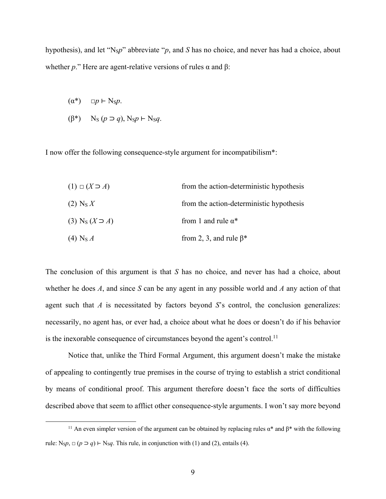hypothesis), and let "N<sub>S</sub>p" abbreviate "p, and S has no choice, and never has had a choice, about whether *p*." Here are agent-relative versions of rules  $\alpha$  and  $\beta$ :

- $(\alpha^*)$   $\Box p \vdash \text{Nsp}.$
- $(\beta^*)$  Ns  $(p \supset q)$ , Nsp ⊢ Nsq.

I now offer the following consequence-style argument for incompatibilism\*:

| $(1) \square (X \supseteq A)$        | from the action-deterministic hypothesis |
|--------------------------------------|------------------------------------------|
| $(2)$ Ns X                           | from the action-deterministic hypothesis |
| (3) N <sub>S</sub> $(X \supseteq A)$ | from 1 and rule $\alpha^*$               |
| $(4)$ N <sub>s</sub> $A$             | from 2, 3, and rule $\beta^*$            |

The conclusion of this argument is that *S* has no choice, and never has had a choice, about whether he does *A*, and since *S* can be any agent in any possible world and *A* any action of that agent such that *A* is necessitated by factors beyond *S*'s control, the conclusion generalizes: necessarily, no agent has, or ever had, a choice about what he does or doesn't do if his behavior is the inexorable consequence of circumstances beyond the agent's control.<sup>11</sup>

Notice that, unlike the Third Formal Argument, this argument doesn't make the mistake of appealing to contingently true premises in the course of trying to establish a strict conditional by means of conditional proof. This argument therefore doesn't face the sorts of difficulties described above that seem to afflict other consequence-style arguments. I won't say more beyond

<sup>&</sup>lt;sup>11</sup> An even simpler version of the argument can be obtained by replacing rules  $\alpha^*$  and  $\beta^*$  with the following rule: N<sub>S</sub> $p$ ,  $\Box$  ( $p \Box q$ ) ⊢ N<sub>S</sub> $q$ . This rule, in conjunction with (1) and (2), entails (4).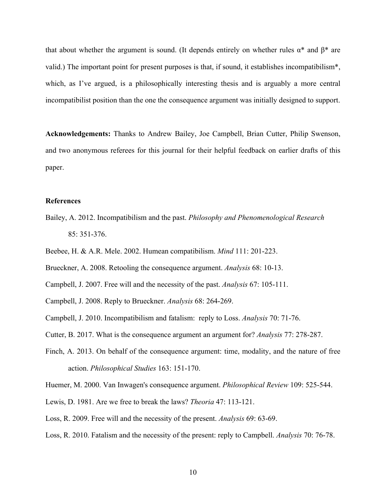that about whether the argument is sound. (It depends entirely on whether rules  $\alpha^*$  and  $\beta^*$  are valid.) The important point for present purposes is that, if sound, it establishes incompatibilism\*, which, as I've argued, is a philosophically interesting thesis and is arguably a more central incompatibilist position than the one the consequence argument was initially designed to support.

**Acknowledgements:** Thanks to Andrew Bailey, Joe Campbell, Brian Cutter, Philip Swenson, and two anonymous referees for this journal for their helpful feedback on earlier drafts of this paper.

## **References**

- Bailey, A. 2012. Incompatibilism and the past. *Philosophy and Phenomenological Research* 85: 351-376.
- Beebee, H. & A.R. Mele. 2002. Humean compatibilism. *Mind* 111: 201-223.
- Brueckner, A. 2008. Retooling the consequence argument. *Analysis* 68: 10-13.
- Campbell, J. 2007. Free will and the necessity of the past. *Analysis* 67: 105-111.
- Campbell, J. 2008. Reply to Brueckner. *Analysis* 68: 264-269.
- Campbell, J. 2010. Incompatibilism and fatalism: reply to Loss. *Analysis* 70: 71-76.
- Cutter, B. 2017. What is the consequence argument an argument for? *Analysis* 77: 278-287.
- Finch, A. 2013. On behalf of the consequence argument: time, modality, and the nature of free action. *Philosophical Studies* 163: 151-170.

Huemer, M. 2000. Van Inwagen's consequence argument. *Philosophical Review* 109: 525-544.

- Lewis, D. 1981. Are we free to break the laws? *Theoria* 47: 113-121.
- Loss, R. 2009. Free will and the necessity of the present. *Analysis* 69: 63-69.
- Loss, R. 2010. Fatalism and the necessity of the present: reply to Campbell. *Analysis* 70: 76-78.